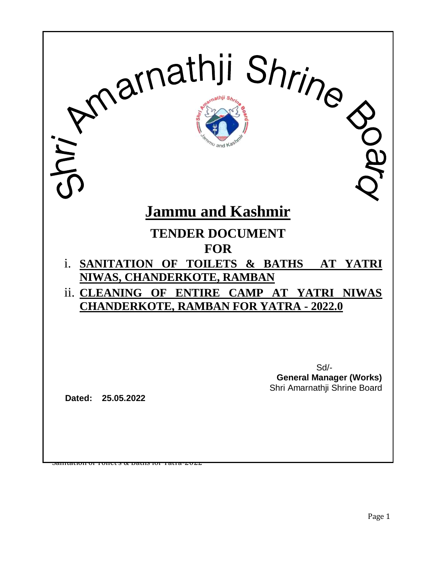

Page 1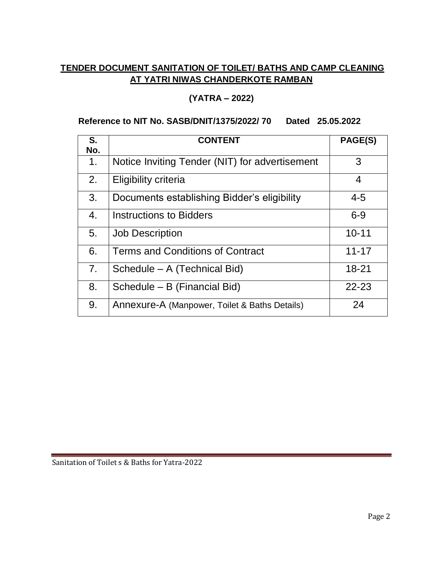# **TENDER DOCUMENT SANITATION OF TOILET/ BATHS AND CAMP CLEANING AT YATRI NIWAS CHANDERKOTE RAMBAN**

### **(YATRA – 2022)**

#### **Reference to NIT No. SASB/DNIT/1375/2022/ 70 Dated 25.05.2022**

| S.<br>No.      | <b>CONTENT</b>                                 | PAGE(S)   |
|----------------|------------------------------------------------|-----------|
| $\mathbf{1}$ . | Notice Inviting Tender (NIT) for advertisement | 3         |
| 2.             | <b>Eligibility criteria</b>                    | 4         |
| 3.             | Documents establishing Bidder's eligibility    | $4 - 5$   |
| 4.             | <b>Instructions to Bidders</b>                 | $6 - 9$   |
| 5.             | <b>Job Description</b>                         | $10 - 11$ |
| 6.             | Terms and Conditions of Contract               | $11 - 17$ |
| 7 <sub>1</sub> | Schedule - A (Technical Bid)                   | $18 - 21$ |
| 8.             | Schedule - B (Financial Bid)                   | $22 - 23$ |
| 9.             | Annexure-A (Manpower, Toilet & Baths Details)  | 24        |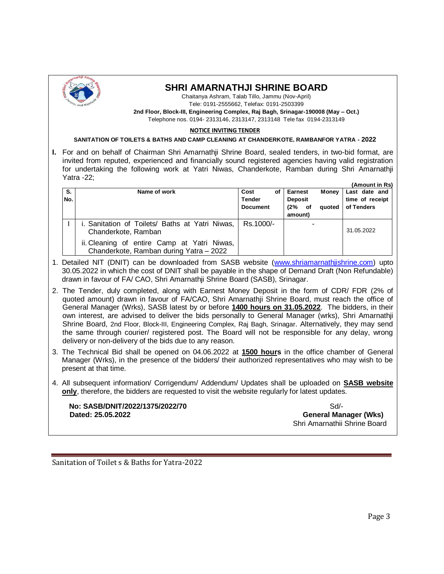

#### **SHRI AMARNATHJI SHRINE BOARD**

Chaitanya Ashram, Talab Tillo, Jammu (Nov-April) Tele: 0191-2555662, Telefax: 0191-2503399

**2nd Floor, Block-III, Engineering Complex, Raj Bagh, Srinagar-190008 (May – Oct.)** Telephone nos. 0194- 2313146, 2313147, 2313148 Tele fax 0194-2313149

#### **NOTICE INVITING TENDER**

#### **SANITATION OF TOILETS & BATHS AND CAMP CLEANING AT CHANDERKOTE, RAMBANFOR YATRA - 2022**

**I.** For and on behalf of Chairman Shri Amarnathji Shrine Board, sealed tenders, in two-bid format, are invited from reputed, experienced and financially sound registered agencies having valid registration for undertaking the following work at Yatri Niwas, Chanderkote, Ramban during Shri Amarnathji Yatra -22;

|     |                                                                                        |                 |                | (Amount in Rs)                |
|-----|----------------------------------------------------------------------------------------|-----------------|----------------|-------------------------------|
| S.  | Name of work                                                                           | Cost<br>οf      | <b>Earnest</b> | <b>Money</b><br>Last date and |
| No. |                                                                                        | <b>Tender</b>   | <b>Deposit</b> | time of receipt               |
|     |                                                                                        | <b>Document</b> | $(2\%$ of      | of Tenders<br>quoted          |
|     |                                                                                        |                 | amount)        |                               |
|     | Sanitation of Toilets/ Baths at Yatri Niwas,                                           | Rs.1000/-       |                |                               |
|     | Chanderkote, Ramban                                                                    |                 |                | 31.05.2022                    |
|     | ii. Cleaning of entire Camp at Yatri Niwas,<br>Chanderkote, Ramban during Yatra - 2022 |                 |                |                               |

- 1. Detailed NIT (DNIT) can be downloaded from SASB website [\(www.shriamarnathjishrine.com\)](http://www.shriamarnathjishrine.com/) upto 30.05.2022 in which the cost of DNIT shall be payable in the shape of Demand Draft (Non Refundable) drawn in favour of FA/ CAO, Shri Amarnathji Shrine Board (SASB), Srinagar.
- 2. The Tender, duly completed, along with Earnest Money Deposit in the form of CDR/ FDR (2% of quoted amount) drawn in favour of FA/CAO, Shri Amarnathji Shrine Board, must reach the office of General Manager (Wrks), SASB latest by or before **1400 hours on 31.05.2022**. The bidders, in their own interest, are advised to deliver the bids personally to General Manager (wrks), Shri Amarnathji Shrine Board, 2nd Floor, Block-III, Engineering Complex, Raj Bagh, Srinagar. Alternatively, they may send the same through courier/ registered post. The Board will not be responsible for any delay, wrong delivery or non-delivery of the bids due to any reason.
- 3. The Technical Bid shall be opened on 04.06.2022 at **1500 hours** in the office chamber of General Manager (Wrks), in the presence of the bidders/ their authorized representatives who may wish to be present at that time.
- 4. All subsequent information/ Corrigendum/ Addendum/ Updates shall be uploaded on **SASB website only**, therefore, the bidders are requested to visit the website regularly for latest updates.

**No: SASB/DNIT/2022/1375/2022/70** Sd/-**Dated: 25.05.2022 General Manager (Wks)**

Shri Amarnathii Shrine Board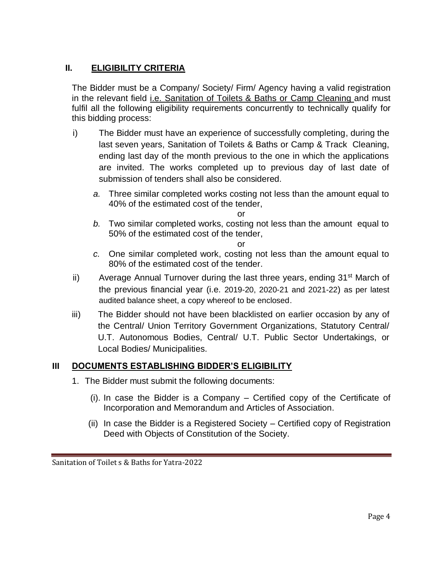# **II. ELIGIBILITY CRITERIA**

The Bidder must be a Company/ Society/ Firm/ Agency having a valid registration in the relevant field i.e. Sanitation of Toilets & Baths or Camp Cleaning and must fulfil all the following eligibility requirements concurrently to technically qualify for this bidding process:

- i) The Bidder must have an experience of successfully completing, during the last seven years, Sanitation of Toilets & Baths or Camp & Track Cleaning, ending last day of the month previous to the one in which the applications are invited. The works completed up to previous day of last date of submission of tenders shall also be considered.
	- *a.* Three similar completed works costing not less than the amount equal to 40% of the estimated cost of the tender,

or

*b.* Two similar completed works, costing not less than the amount equal to 50% of the estimated cost of the tender,

or

- *c.* One similar completed work, costing not less than the amount equal to 80% of the estimated cost of the tender.
- ii) Average Annual Turnover during the last three years, ending  $31<sup>st</sup>$  March of the previous financial year (i.e. 2019-20, 2020-21 and 2021-22) as per latest audited balance sheet, a copy whereof to be enclosed.
- iii) The Bidder should not have been blacklisted on earlier occasion by any of the Central/ Union Territory Government Organizations, Statutory Central/ U.T. Autonomous Bodies, Central/ U.T. Public Sector Undertakings, or Local Bodies/ Municipalities.

# **III DOCUMENTS ESTABLISHING BIDDER'S ELIGIBILITY**

- 1. The Bidder must submit the following documents:
	- (i). In case the Bidder is a Company Certified copy of the Certificate of Incorporation and Memorandum and Articles of Association.
	- (ii) In case the Bidder is a Registered Society Certified copy of Registration Deed with Objects of Constitution of the Society.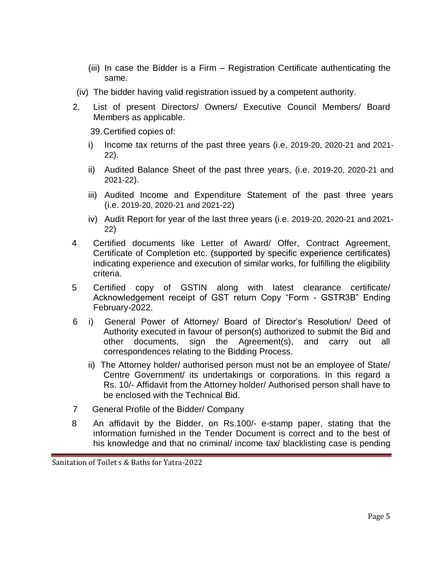- (iii) In case the Bidder is a Firm Registration Certificate authenticating the same.
- (iv) The bidder having valid registration issued by a competent authority.
- 2. List of present Directors/ Owners/ Executive Council Members/ Board Members as applicable.

39.Certified copies of:

- i) Income tax returns of the past three years (i.e. 2019-20, 2020-21 and 2021- 22).
- ii) Audited Balance Sheet of the past three years, (i.e. 2019-20, 2020-21 and 2021-22).
- iii) Audited Income and Expenditure Statement of the past three years (i.e. 2019-20, 2020-21 and 2021-22)
- iv) Audit Report for year of the last three years (i.e. 2019-20, 2020-21 and 2021- 22)
- 4 Certified documents like Letter of Award/ Offer, Contract Agreement, Certificate of Completion etc. (supported by specific experience certificates) indicating experience and execution of similar works, for fulfilling the eligibility criteria.
- 5 Certified copy of GSTIN along with latest clearance certificate/ Acknowledgement receipt of GST return Copy "Form - GSTR3B" Ending February-2022.
- 6 i) General Power of Attorney/ Board of Director's Resolution/ Deed of Authority executed in favour of person(s) authorized to submit the Bid and other documents, sign the Agreement(s), and carry out all correspondences relating to the Bidding Process.
	- ii) The Attorney holder/ authorised person must not be an employee of State/ Centre Government/ its undertakings or corporations. In this regard a Rs. 10/- Affidavit from the Attorney holder/ Authorised person shall have to be enclosed with the Technical Bid.
- 7 General Profile of the Bidder/ Company
- 8 An affidavit by the Bidder, on Rs.100/- e-stamp paper, stating that the information furnished in the Tender Document is correct and to the best of his knowledge and that no criminal/ income tax/ blacklisting case is pending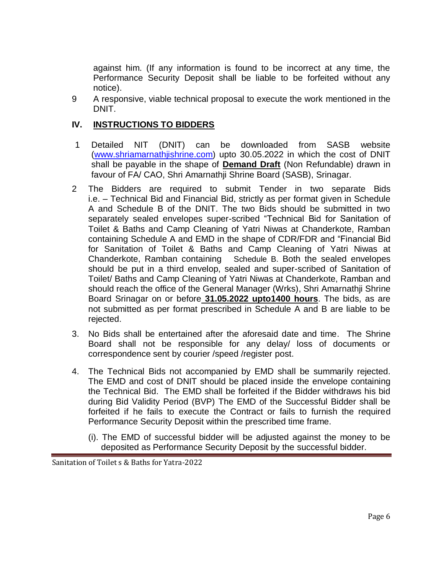against him. (If any information is found to be incorrect at any time, the Performance Security Deposit shall be liable to be forfeited without any notice).

9 A responsive, viable technical proposal to execute the work mentioned in the DNIT.

#### **IV. INSTRUCTIONS TO BIDDERS**

- 1 Detailed NIT (DNIT) can be downloaded from SASB website [\(www.shriamarnathjishrine.com\)](http://www.shriamarnathjishrine.com/) upto 30.05.2022 in which the cost of DNIT shall be payable in the shape of **Demand Draft** (Non Refundable) drawn in favour of FA/ CAO, Shri Amarnathji Shrine Board (SASB), Srinagar.
- 2 The Bidders are required to submit Tender in two separate Bids i.e. – Technical Bid and Financial Bid, strictly as per format given in Schedule A and Schedule B of the DNIT. The two Bids should be submitted in two separately sealed envelopes super-scribed "Technical Bid for Sanitation of Toilet & Baths and Camp Cleaning of Yatri Niwas at Chanderkote, Ramban containing Schedule A and EMD in the shape of CDR/FDR and "Financial Bid for Sanitation of Toilet & Baths and Camp Cleaning of Yatri Niwas at Chanderkote, Ramban containing Schedule B. Both the sealed envelopes should be put in a third envelop, sealed and super-scribed of Sanitation of Toilet/ Baths and Camp Cleaning of Yatri Niwas at Chanderkote, Ramban and should reach the office of the General Manager (Wrks), Shri Amarnathji Shrine Board Srinagar on or before **31.05.2022 upto1400 hours**. The bids, as are not submitted as per format prescribed in Schedule A and B are liable to be rejected.
- 3. No Bids shall be entertained after the aforesaid date and time. The Shrine Board shall not be responsible for any delay/ loss of documents or correspondence sent by courier /speed /register post.
- 4. The Technical Bids not accompanied by EMD shall be summarily rejected. The EMD and cost of DNIT should be placed inside the envelope containing the Technical Bid. The EMD shall be forfeited if the Bidder withdraws his bid during Bid Validity Period (BVP) The EMD of the Successful Bidder shall be forfeited if he fails to execute the Contract or fails to furnish the required Performance Security Deposit within the prescribed time frame.
	- (i). The EMD of successful bidder will be adjusted against the money to be deposited as Performance Security Deposit by the successful bidder.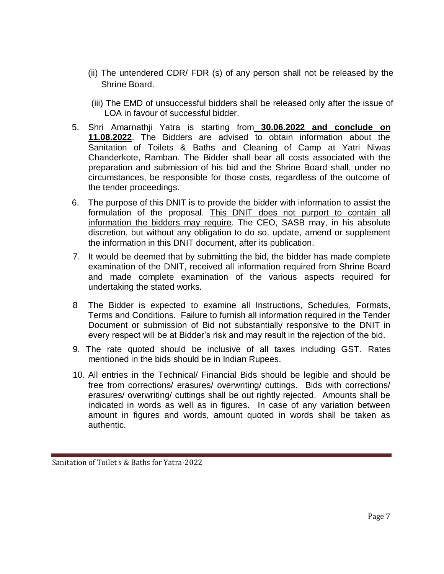- (ii) The untendered CDR/ FDR (s) of any person shall not be released by the Shrine Board.
- (iii) The EMD of unsuccessful bidders shall be released only after the issue of LOA in favour of successful bidder.
- 5. Shri Amarnathji Yatra is starting from **30.06.2022 and conclude on 11.08.2022**. The Bidders are advised to obtain information about the Sanitation of Toilets & Baths and Cleaning of Camp at Yatri Niwas Chanderkote, Ramban. The Bidder shall bear all costs associated with the preparation and submission of his bid and the Shrine Board shall, under no circumstances, be responsible for those costs, regardless of the outcome of the tender proceedings.
- 6. The purpose of this DNIT is to provide the bidder with information to assist the formulation of the proposal. This DNIT does not purport to contain all information the bidders may require. The CEO, SASB may, in his absolute discretion, but without any obligation to do so, update, amend or supplement the information in this DNIT document, after its publication.
- 7. It would be deemed that by submitting the bid, the bidder has made complete examination of the DNIT, received all information required from Shrine Board and made complete examination of the various aspects required for undertaking the stated works.
- 8 The Bidder is expected to examine all Instructions, Schedules, Formats, Terms and Conditions. Failure to furnish all information required in the Tender Document or submission of Bid not substantially responsive to the DNIT in every respect will be at Bidder's risk and may result in the rejection of the bid.
- 9. The rate quoted should be inclusive of all taxes including GST. Rates mentioned in the bids should be in Indian Rupees.
- 10. All entries in the Technical/ Financial Bids should be legible and should be free from corrections/ erasures/ overwriting/ cuttings. Bids with corrections/ erasures/ overwriting/ cuttings shall be out rightly rejected. Amounts shall be indicated in words as well as in figures. In case of any variation between amount in figures and words, amount quoted in words shall be taken as authentic.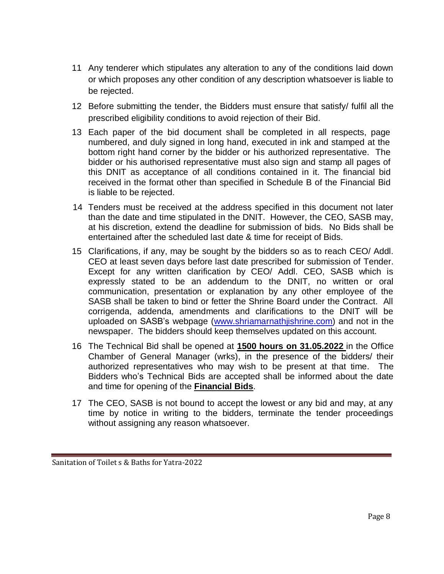- 11 Any tenderer which stipulates any alteration to any of the conditions laid down or which proposes any other condition of any description whatsoever is liable to be rejected.
- 12 Before submitting the tender, the Bidders must ensure that satisfy/ fulfil all the prescribed eligibility conditions to avoid rejection of their Bid.
- 13 Each paper of the bid document shall be completed in all respects, page numbered, and duly signed in long hand, executed in ink and stamped at the bottom right hand corner by the bidder or his authorized representative. The bidder or his authorised representative must also sign and stamp all pages of this DNIT as acceptance of all conditions contained in it. The financial bid received in the format other than specified in Schedule B of the Financial Bid is liable to be rejected.
- 14 Tenders must be received at the address specified in this document not later than the date and time stipulated in the DNIT. However, the CEO, SASB may, at his discretion, extend the deadline for submission of bids. No Bids shall be entertained after the scheduled last date & time for receipt of Bids.
- 15 Clarifications, if any, may be sought by the bidders so as to reach CEO/ Addl. CEO at least seven days before last date prescribed for submission of Tender. Except for any written clarification by CEO/ Addl. CEO, SASB which is expressly stated to be an addendum to the DNIT, no written or oral communication, presentation or explanation by any other employee of the SASB shall be taken to bind or fetter the Shrine Board under the Contract. All corrigenda, addenda, amendments and clarifications to the DNIT will be uploaded on SASB's webpage [\(www.shriamarnathjishrine.com\)](http://www.shriamarnathjishrine.com/) and not in the newspaper. The bidders should keep themselves updated on this account.
- 16 The Technical Bid shall be opened at **1500 hours on 31.05.2022** in the Office Chamber of General Manager (wrks), in the presence of the bidders/ their authorized representatives who may wish to be present at that time. The Bidders who's Technical Bids are accepted shall be informed about the date and time for opening of the **Financial Bids**.
- 17 The CEO, SASB is not bound to accept the lowest or any bid and may, at any time by notice in writing to the bidders, terminate the tender proceedings without assigning any reason whatsoever.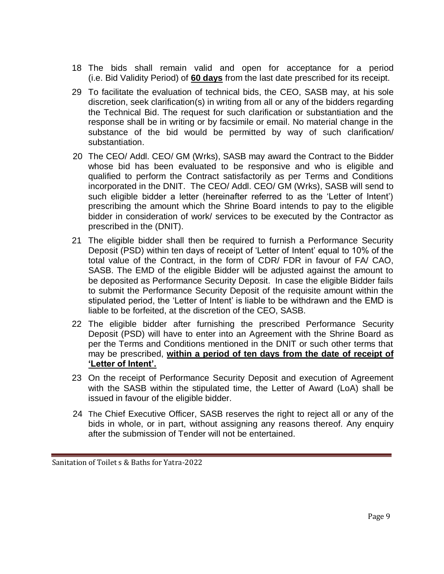- 18 The bids shall remain valid and open for acceptance for a period (i.e. Bid Validity Period) of **60 days** from the last date prescribed for its receipt.
- 29 To facilitate the evaluation of technical bids, the CEO, SASB may, at his sole discretion, seek clarification(s) in writing from all or any of the bidders regarding the Technical Bid. The request for such clarification or substantiation and the response shall be in writing or by facsimile or email. No material change in the substance of the bid would be permitted by way of such clarification/ substantiation.
- 20 The CEO/ Addl. CEO/ GM (Wrks), SASB may award the Contract to the Bidder whose bid has been evaluated to be responsive and who is eligible and qualified to perform the Contract satisfactorily as per Terms and Conditions incorporated in the DNIT. The CEO/ Addl. CEO/ GM (Wrks), SASB will send to such eligible bidder a letter (hereinafter referred to as the 'Letter of Intent') prescribing the amount which the Shrine Board intends to pay to the eligible bidder in consideration of work/ services to be executed by the Contractor as prescribed in the (DNIT).
- 21 The eligible bidder shall then be required to furnish a Performance Security Deposit (PSD) within ten days of receipt of 'Letter of Intent' equal to 10% of the total value of the Contract, in the form of CDR/ FDR in favour of FA/ CAO, SASB. The EMD of the eligible Bidder will be adjusted against the amount to be deposited as Performance Security Deposit. In case the eligible Bidder fails to submit the Performance Security Deposit of the requisite amount within the stipulated period, the 'Letter of Intent' is liable to be withdrawn and the EMD is liable to be forfeited, at the discretion of the CEO, SASB.
- 22 The eligible bidder after furnishing the prescribed Performance Security Deposit (PSD) will have to enter into an Agreement with the Shrine Board as per the Terms and Conditions mentioned in the DNIT or such other terms that may be prescribed, **within a period of ten days from the date of receipt of 'Letter of Intent'.**
- 23 On the receipt of Performance Security Deposit and execution of Agreement with the SASB within the stipulated time, the Letter of Award (LoA) shall be issued in favour of the eligible bidder.
- 24 The Chief Executive Officer, SASB reserves the right to reject all or any of the bids in whole, or in part, without assigning any reasons thereof. Any enquiry after the submission of Tender will not be entertained.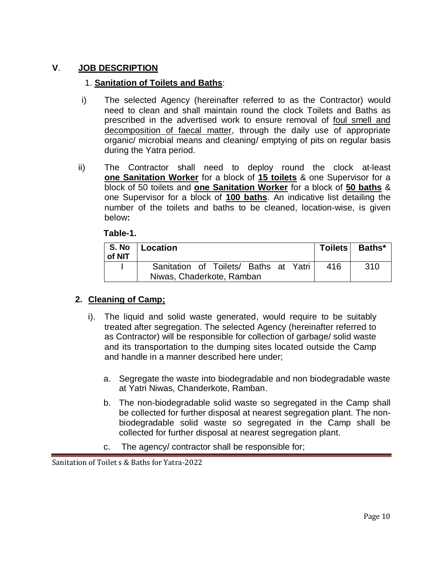## **V**. **JOB DESCRIPTION**

#### 1. **Sanitation of Toilets and Baths**:

- i) The selected Agency (hereinafter referred to as the Contractor) would need to clean and shall maintain round the clock Toilets and Baths as prescribed in the advertised work to ensure removal of foul smell and decomposition of faecal matter, through the daily use of appropriate organic/ microbial means and cleaning/ emptying of pits on regular basis during the Yatra period.
- ii) The Contractor shall need to deploy round the clock at-least **one Sanitation Worker** for a block of **15 toilets** & one Supervisor for a block of 50 toilets and **one Sanitation Worker** for a block of **50 baths** & one Supervisor for a block of **100 baths**. An indicative list detailing the number of the toilets and baths to be cleaned, location-wise, is given below**:**

#### **Table-1.**

| S. No<br>of NIT | Location                              | <b>Toilets</b> | Baths* |
|-----------------|---------------------------------------|----------------|--------|
|                 | Sanitation of Toilets/ Baths at Yatri | 416            | 310    |
|                 | Niwas, Chaderkote, Ramban             |                |        |

#### **2. Cleaning of Camp;**

- i). The liquid and solid waste generated, would require to be suitably treated after segregation. The selected Agency (hereinafter referred to as Contractor) will be responsible for collection of garbage/ solid waste and its transportation to the dumping sites located outside the Camp and handle in a manner described here under;
	- a. Segregate the waste into biodegradable and non biodegradable waste at Yatri Niwas, Chanderkote, Ramban.
	- b. The non-biodegradable solid waste so segregated in the Camp shall be collected for further disposal at nearest segregation plant. The nonbiodegradable solid waste so segregated in the Camp shall be collected for further disposal at nearest segregation plant.
	- c. The agency/ contractor shall be responsible for;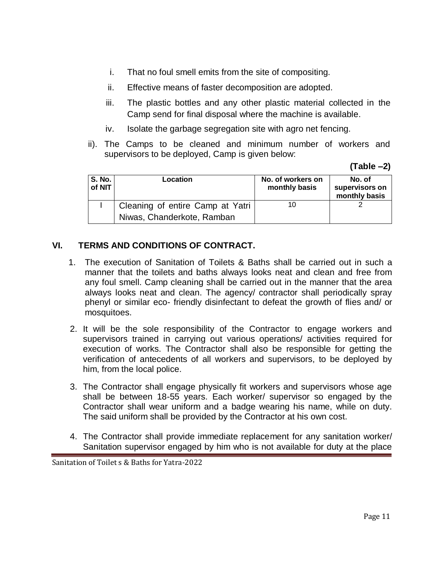- i. That no foul smell emits from the site of compositing.
- ii. Effective means of faster decomposition are adopted.
- iii. The plastic bottles and any other plastic material collected in the Camp send for final disposal where the machine is available.
- iv. Isolate the garbage segregation site with agro net fencing.
- ii). The Camps to be cleaned and minimum number of workers and supervisors to be deployed, Camp is given below:

**(Table –2)**

| <b>S. No.</b><br>of NIT | Location                         | No. of workers on<br>monthly basis | No. of<br>supervisors on<br>monthly basis |
|-------------------------|----------------------------------|------------------------------------|-------------------------------------------|
|                         | Cleaning of entire Camp at Yatri | 10                                 |                                           |
|                         | Niwas, Chanderkote, Ramban       |                                    |                                           |

# **VI. TERMS AND CONDITIONS OF CONTRACT.**

- 1. The execution of Sanitation of Toilets & Baths shall be carried out in such a manner that the toilets and baths always looks neat and clean and free from any foul smell. Camp cleaning shall be carried out in the manner that the area always looks neat and clean. The agency/ contractor shall periodically spray phenyl or similar eco- friendly disinfectant to defeat the growth of flies and/ or mosquitoes.
- 2. It will be the sole responsibility of the Contractor to engage workers and supervisors trained in carrying out various operations/ activities required for execution of works. The Contractor shall also be responsible for getting the verification of antecedents of all workers and supervisors, to be deployed by him, from the local police.
- 3. The Contractor shall engage physically fit workers and supervisors whose age shall be between 18-55 years. Each worker/ supervisor so engaged by the Contractor shall wear uniform and a badge wearing his name, while on duty. The said uniform shall be provided by the Contractor at his own cost.
- 4. The Contractor shall provide immediate replacement for any sanitation worker/ Sanitation supervisor engaged by him who is not available for duty at the place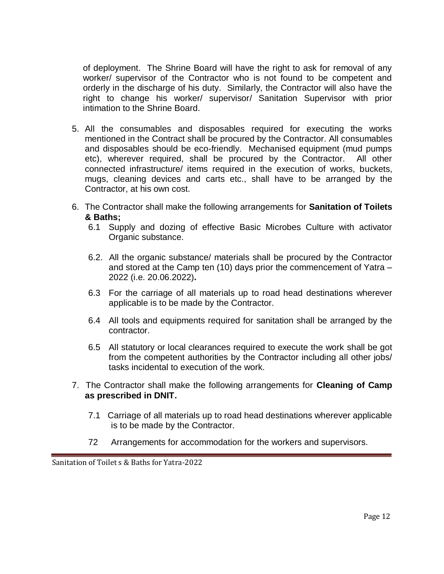of deployment. The Shrine Board will have the right to ask for removal of any worker/ supervisor of the Contractor who is not found to be competent and orderly in the discharge of his duty. Similarly, the Contractor will also have the right to change his worker/ supervisor/ Sanitation Supervisor with prior intimation to the Shrine Board.

- 5. All the consumables and disposables required for executing the works mentioned in the Contract shall be procured by the Contractor. All consumables and disposables should be eco-friendly. Mechanised equipment (mud pumps etc), wherever required, shall be procured by the Contractor. All other connected infrastructure/ items required in the execution of works, buckets, mugs, cleaning devices and carts etc., shall have to be arranged by the Contractor, at his own cost.
- 6. The Contractor shall make the following arrangements for **Sanitation of Toilets & Baths;**
	- 6.1 Supply and dozing of effective Basic Microbes Culture with activator Organic substance.
	- 6.2. All the organic substance/ materials shall be procured by the Contractor and stored at the Camp ten (10) days prior the commencement of Yatra – 2022 (i.e. 20.06.2022)**.**
	- 6.3 For the carriage of all materials up to road head destinations wherever applicable is to be made by the Contractor.
	- 6.4 All tools and equipments required for sanitation shall be arranged by the contractor.
	- 6.5 All statutory or local clearances required to execute the work shall be got from the competent authorities by the Contractor including all other jobs/ tasks incidental to execution of the work.
- 7. The Contractor shall make the following arrangements for **Cleaning of Camp as prescribed in DNIT.**
	- 7.1 Carriage of all materials up to road head destinations wherever applicable is to be made by the Contractor.
	- 72 Arrangements for accommodation for the workers and supervisors.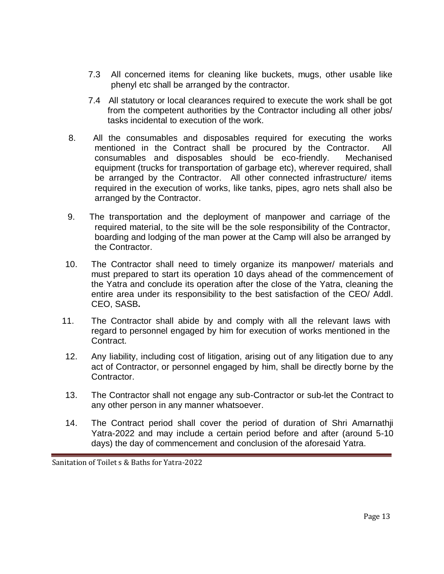- 7.3 All concerned items for cleaning like buckets, mugs, other usable like phenyl etc shall be arranged by the contractor.
- 7.4 All statutory or local clearances required to execute the work shall be got from the competent authorities by the Contractor including all other jobs/ tasks incidental to execution of the work.
- 8. All the consumables and disposables required for executing the works mentioned in the Contract shall be procured by the Contractor. All consumables and disposables should be eco-friendly. Mechanised equipment (trucks for transportation of garbage etc), wherever required, shall be arranged by the Contractor. All other connected infrastructure/ items required in the execution of works, like tanks, pipes, agro nets shall also be arranged by the Contractor.
- 9. The transportation and the deployment of manpower and carriage of the required material, to the site will be the sole responsibility of the Contractor, boarding and lodging of the man power at the Camp will also be arranged by the Contractor.
- 10. The Contractor shall need to timely organize its manpower/ materials and must prepared to start its operation 10 days ahead of the commencement of the Yatra and conclude its operation after the close of the Yatra, cleaning the entire area under its responsibility to the best satisfaction of the CEO/ Addl. CEO, SASB**.**
- 11. The Contractor shall abide by and comply with all the relevant laws with regard to personnel engaged by him for execution of works mentioned in the Contract.
- 12. Any liability, including cost of litigation, arising out of any litigation due to any act of Contractor, or personnel engaged by him, shall be directly borne by the Contractor.
- 13. The Contractor shall not engage any sub-Contractor or sub-let the Contract to any other person in any manner whatsoever.
- 14. The Contract period shall cover the period of duration of Shri Amarnathji Yatra-2022 and may include a certain period before and after (around 5-10 days) the day of commencement and conclusion of the aforesaid Yatra.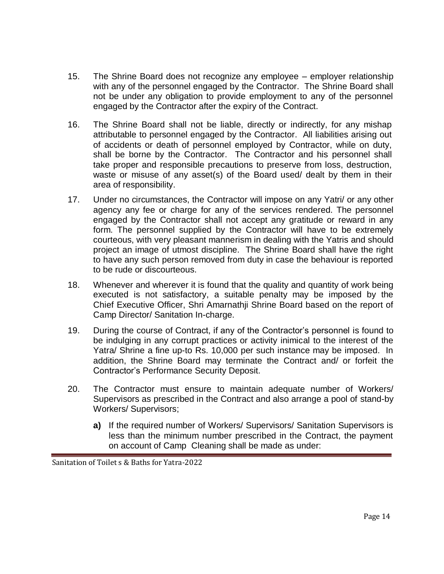- 15. The Shrine Board does not recognize any employee employer relationship with any of the personnel engaged by the Contractor. The Shrine Board shall not be under any obligation to provide employment to any of the personnel engaged by the Contractor after the expiry of the Contract.
- 16. The Shrine Board shall not be liable, directly or indirectly, for any mishap attributable to personnel engaged by the Contractor. All liabilities arising out of accidents or death of personnel employed by Contractor, while on duty, shall be borne by the Contractor. The Contractor and his personnel shall take proper and responsible precautions to preserve from loss, destruction, waste or misuse of any asset(s) of the Board used/ dealt by them in their area of responsibility.
- 17. Under no circumstances, the Contractor will impose on any Yatri/ or any other agency any fee or charge for any of the services rendered. The personnel engaged by the Contractor shall not accept any gratitude or reward in any form. The personnel supplied by the Contractor will have to be extremely courteous, with very pleasant mannerism in dealing with the Yatris and should project an image of utmost discipline. The Shrine Board shall have the right to have any such person removed from duty in case the behaviour is reported to be rude or discourteous.
- 18. Whenever and wherever it is found that the quality and quantity of work being executed is not satisfactory, a suitable penalty may be imposed by the Chief Executive Officer, Shri Amarnathji Shrine Board based on the report of Camp Director/ Sanitation In-charge.
- 19. During the course of Contract, if any of the Contractor's personnel is found to be indulging in any corrupt practices or activity inimical to the interest of the Yatra/ Shrine a fine up-to Rs. 10,000 per such instance may be imposed. In addition, the Shrine Board may terminate the Contract and/ or forfeit the Contractor's Performance Security Deposit.
- 20. The Contractor must ensure to maintain adequate number of Workers/ Supervisors as prescribed in the Contract and also arrange a pool of stand-by Workers/ Supervisors;
	- **a)** If the required number of Workers/ Supervisors/ Sanitation Supervisors is less than the minimum number prescribed in the Contract, the payment on account of Camp Cleaning shall be made as under: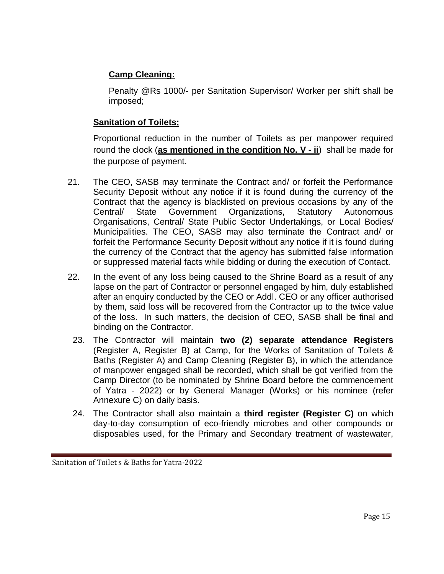# **Camp Cleaning:**

Penalty @Rs 1000/- per Sanitation Supervisor/ Worker per shift shall be imposed;

# **Sanitation of Toilets;**

Proportional reduction in the number of Toilets as per manpower required round the clock (**as mentioned in the condition No. V - ii**) shall be made for the purpose of payment.

- 21. The CEO, SASB may terminate the Contract and/ or forfeit the Performance Security Deposit without any notice if it is found during the currency of the Contract that the agency is blacklisted on previous occasions by any of the Central/ State Government Organizations, Statutory Autonomous Organisations, Central/ State Public Sector Undertakings, or Local Bodies/ Municipalities. The CEO, SASB may also terminate the Contract and/ or forfeit the Performance Security Deposit without any notice if it is found during the currency of the Contract that the agency has submitted false information or suppressed material facts while bidding or during the execution of Contact.
- 22. In the event of any loss being caused to the Shrine Board as a result of any lapse on the part of Contractor or personnel engaged by him, duly established after an enquiry conducted by the CEO or Addl. CEO or any officer authorised by them, said loss will be recovered from the Contractor up to the twice value of the loss. In such matters, the decision of CEO, SASB shall be final and binding on the Contractor.
	- 23. The Contractor will maintain **two (2) separate attendance Registers** (Register A, Register B) at Camp, for the Works of Sanitation of Toilets & Baths (Register A) and Camp Cleaning (Register B), in which the attendance of manpower engaged shall be recorded, which shall be got verified from the Camp Director (to be nominated by Shrine Board before the commencement of Yatra - 2022) or by General Manager (Works) or his nominee (refer Annexure C) on daily basis.
	- 24. The Contractor shall also maintain a **third register (Register C)** on which day-to-day consumption of eco-friendly microbes and other compounds or disposables used, for the Primary and Secondary treatment of wastewater,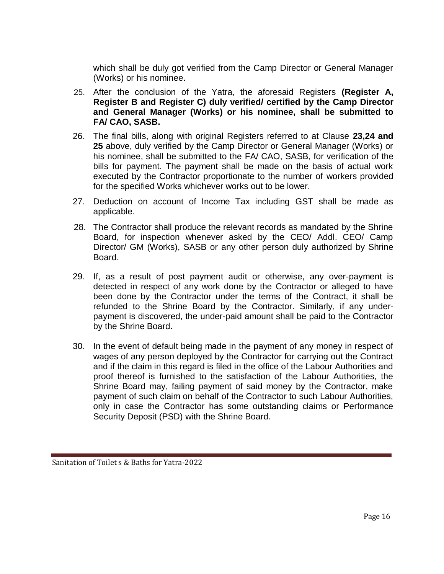which shall be duly got verified from the Camp Director or General Manager (Works) or his nominee.

- 25. After the conclusion of the Yatra, the aforesaid Registers (Register A, **Register B and Register C) duly verified/ certified by the Camp Director and General Manager (Works) or his nominee, shall be submitted to FA/ CAO, SASB.**
- 26. The final bills, along with original Registers referred to at Clause **23,24 and 25** above, duly verified by the Camp Director or General Manager (Works) or his nominee, shall be submitted to the FA/ CAO, SASB, for verification of the bills for payment. The payment shall be made on the basis of actual work executed by the Contractor proportionate to the number of workers provided for the specified Works whichever works out to be lower.
- 27. Deduction on account of Income Tax including GST shall be made as applicable.
- 28. The Contractor shall produce the relevant records as mandated by the Shrine Board, for inspection whenever asked by the CEO/ Addl. CEO/ Camp Director/ GM (Works), SASB or any other person duly authorized by Shrine Board.
- 29. If, as a result of post payment audit or otherwise, any over-payment is detected in respect of any work done by the Contractor or alleged to have been done by the Contractor under the terms of the Contract, it shall be refunded to the Shrine Board by the Contractor. Similarly, if any underpayment is discovered, the under-paid amount shall be paid to the Contractor by the Shrine Board.
- 30. In the event of default being made in the payment of any money in respect of wages of any person deployed by the Contractor for carrying out the Contract and if the claim in this regard is filed in the office of the Labour Authorities and proof thereof is furnished to the satisfaction of the Labour Authorities, the Shrine Board may, failing payment of said money by the Contractor, make payment of such claim on behalf of the Contractor to such Labour Authorities, only in case the Contractor has some outstanding claims or Performance Security Deposit (PSD) with the Shrine Board.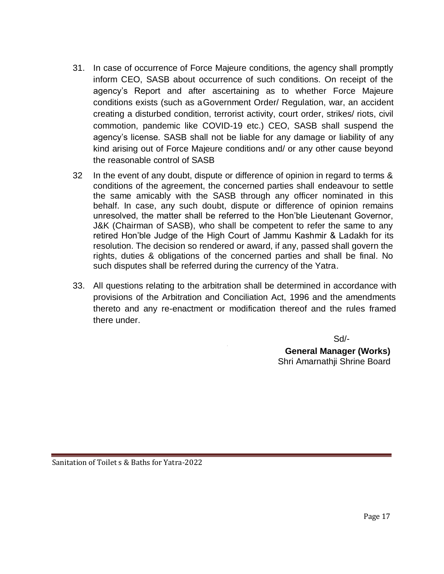- 31. In case of occurrence of Force Majeure conditions, the agency shall promptly inform CEO, SASB about occurrence of such conditions. On receipt of the agency's Report and after ascertaining as to whether Force Majeure conditions exists (such as aGovernment Order/ Regulation, war, an accident creating a disturbed condition, terrorist activity, court order, strikes/ riots, civil commotion, pandemic like COVID-19 etc.) CEO, SASB shall suspend the agency's license. SASB shall not be liable for any damage or liability of any kind arising out of Force Majeure conditions and/ or any other cause beyond the reasonable control of SASB
- 32 In the event of any doubt, dispute or difference of opinion in regard to terms & conditions of the agreement, the concerned parties shall endeavour to settle the same amicably with the SASB through any officer nominated in this behalf. In case, any such doubt, dispute or difference of opinion remains unresolved, the matter shall be referred to the Hon'ble Lieutenant Governor, J&K (Chairman of SASB), who shall be competent to refer the same to any retired Hon'ble Judge of the High Court of Jammu Kashmir & Ladakh for its resolution. The decision so rendered or award, if any, passed shall govern the rights, duties & obligations of the concerned parties and shall be final. No such disputes shall be referred during the currency of the Yatra.
- 33. All questions relating to the arbitration shall be determined in accordance with provisions of the Arbitration and Conciliation Act, 1996 and the amendments thereto and any re-enactment or modification thereof and the rules framed there under.

 $\mathbb{Z}^2$ 

 $S$ d/- $S$ d/- $S$ **General Manager (Works)** Shri Amarnathji Shrine Board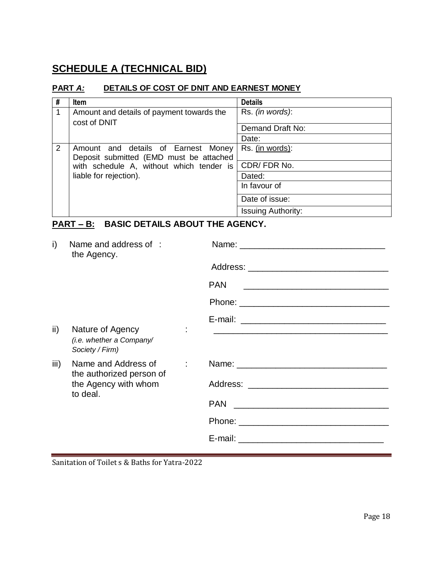# **SCHEDULE A (TECHNICAL BID)**

### **PART** *A:* **DETAILS OF COST OF DNIT AND EARNEST MONEY**

| #              | <b>Item</b>                               | <b>Details</b>            |
|----------------|-------------------------------------------|---------------------------|
| 1              | Amount and details of payment towards the | Rs. (in words):           |
|                | cost of DNIT                              | Demand Draft No:          |
|                |                                           | Date:                     |
| $\overline{2}$ | Amount and details of Earnest Money       | Rs. (in words):           |
|                | Deposit submitted (EMD must be attached   |                           |
|                | with schedule A, without which tender is  | CDR/FDR No.               |
|                | liable for rejection).                    | Dated:                    |
|                |                                           | In favour of              |
|                |                                           | Date of issue:            |
|                |                                           | <b>Issuing Authority:</b> |

# **PART – B: BASIC DETAILS ABOUT THE AGENCY.**

| i)            | Name and address of :<br>the Agency.                                                      |      |
|---------------|-------------------------------------------------------------------------------------------|------|
|               |                                                                                           |      |
|               |                                                                                           | PAN. |
|               |                                                                                           |      |
| $\mathsf{ii}$ | Nature of Agency<br>(i.e. whether a Company/<br>Society / Firm)                           |      |
| iii)          | Name and Address of<br>۰.<br>the authorized person of<br>the Agency with whom<br>to deal. |      |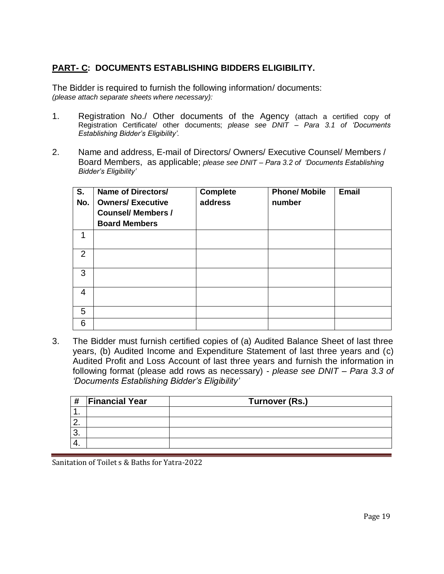# **PART- C: DOCUMENTS ESTABLISHING BIDDERS ELIGIBILITY.**

The Bidder is required to furnish the following information/ documents: *(please attach separate sheets where necessary):*

- 1. Registration No./ Other documents of the Agency (attach a certified copy of Registration Certificate/ other documents; *please see DNIT – Para 3.1 of 'Documents Establishing Bidder's Eligibility'.*
- 2. Name and address, E-mail of Directors/ Owners/ Executive Counsel/ Members / Board Members, as applicable; *please see DNIT – Para 3.2 of 'Documents Establishing Bidder's Eligibility'*

| S.<br>No. | <b>Name of Directors/</b><br><b>Owners/ Executive</b><br><b>Counsel/ Members /</b><br><b>Board Members</b> | <b>Complete</b><br>address | <b>Phone/ Mobile</b><br>number | <b>Email</b> |
|-----------|------------------------------------------------------------------------------------------------------------|----------------------------|--------------------------------|--------------|
| 1         |                                                                                                            |                            |                                |              |
| 2         |                                                                                                            |                            |                                |              |
| 3         |                                                                                                            |                            |                                |              |
| 4         |                                                                                                            |                            |                                |              |
| 5         |                                                                                                            |                            |                                |              |
| 6         |                                                                                                            |                            |                                |              |

3. The Bidder must furnish certified copies of (a) Audited Balance Sheet of last three years, (b) Audited Income and Expenditure Statement of last three years and (c) Audited Profit and Loss Account of last three years and furnish the information in following format (please add rows as necessary) - *please see DNIT – Para 3.3 of 'Documents Establishing Bidder's Eligibility'*

| #        | <b>Financial Year</b> | Turnover (Rs.) |
|----------|-----------------------|----------------|
|          |                       |                |
| <u>.</u> |                       |                |
| . ખ      |                       |                |
|          |                       |                |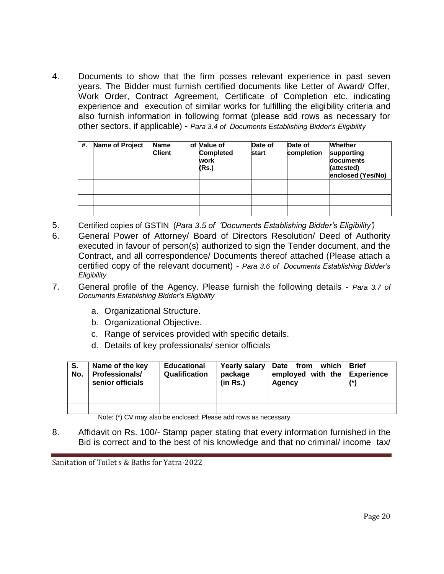4. Documents to show that the firm posses relevant experience in past seven years. The Bidder must furnish certified documents like Letter of Award/ Offer, Work Order, Contract Agreement, Certificate of Completion etc. indicating experience and execution of similar works for fulfilling the eligibility criteria and also furnish information in following format (please add rows as necessary for other sectors, if applicable) - *Para 3.4 of Documents Establishing Bidder's Eligibility*

| #. | Name of Project | <b>Name</b><br><b>Client</b> | of Value of<br><b>Completed</b><br>work<br>(Rs.) | Date of<br><b>start</b> | Date of<br>completion | <b>Whether</b><br>supporting<br>documents<br>(attested)<br>enclosed (Yes/No) |
|----|-----------------|------------------------------|--------------------------------------------------|-------------------------|-----------------------|------------------------------------------------------------------------------|
|    |                 |                              |                                                  |                         |                       |                                                                              |
|    |                 |                              |                                                  |                         |                       |                                                                              |
|    |                 |                              |                                                  |                         |                       |                                                                              |

- 5. Certified copies of GSTIN (*Para 3.5 of 'Documents Establishing Bidder's Eligibility')*
- 6. General Power of Attorney/ Board of Directors Resolution/ Deed of Authority executed in favour of person(s) authorized to sign the Tender document, and the Contract, and all correspondence/ Documents thereof attached (Please attach a certified copy of the relevant document) - *Para 3.6 of Documents Establishing Bidder's Eligibility*
- 7. General profile of the Agency. Please furnish the following details *Para 3.7 of Documents Establishing Bidder's Eligibility* 
	- a. Organizational Structure.
	- b. Organizational Objective.
	- c. Range of services provided with specific details.
	- d. Details of key professionals/ senior officials

| S.<br>No. | Name of the key<br><b>Professionals/</b><br>senior officials | <b>Educational</b><br>Qualification | package<br>(in Rs.) | Yearly salary   Date from which  <br>employed with the Experience<br>Agency | <b>Brief</b> |
|-----------|--------------------------------------------------------------|-------------------------------------|---------------------|-----------------------------------------------------------------------------|--------------|
|           |                                                              |                                     |                     |                                                                             |              |
|           |                                                              |                                     |                     |                                                                             |              |

Note: (\*) CV may also be enclosed; Please add rows as necessary.

8. Affidavit on Rs. 100/- Stamp paper stating that every information furnished in the Bid is correct and to the best of his knowledge and that no criminal/ income tax/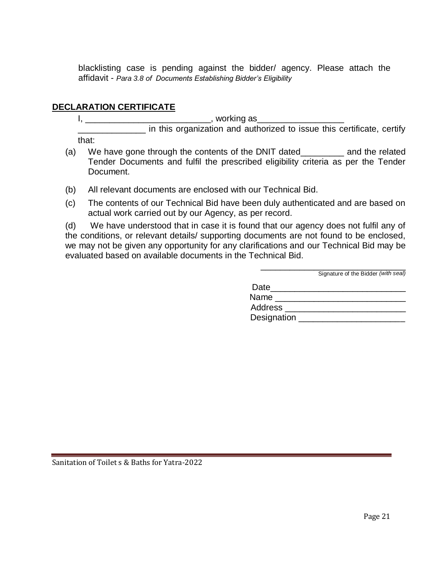blacklisting case is pending against the bidder/ agency. Please attach the affidavit - *Para 3.8 of Documents Establishing Bidder's Eligibility* 

# **DECLARATION CERTIFICATE**

I, \_\_\_\_\_\_\_\_\_\_\_\_\_\_\_\_\_\_\_\_\_\_\_\_\_\_, working as\_\_\_\_\_\_\_\_\_\_\_\_\_\_\_\_\_\_

\_\_\_\_\_\_\_\_\_\_\_\_\_\_ in this organization and authorized to issue this certificate, certify that:

- (a) We have gone through the contents of the DNIT dated\_\_\_\_\_\_\_\_\_ and the related Tender Documents and fulfil the prescribed eligibility criteria as per the Tender Document.
- (b) All relevant documents are enclosed with our Technical Bid.
- (c) The contents of our Technical Bid have been duly authenticated and are based on actual work carried out by our Agency, as per record.

(d) We have understood that in case it is found that our agency does not fulfil any of the conditions, or relevant details/ supporting documents are not found to be enclosed, we may not be given any opportunity for any clarifications and our Technical Bid may be evaluated based on available documents in the Technical Bid.

|             | Signature of the Bidder (with seal) |
|-------------|-------------------------------------|
| Date        |                                     |
| Name        |                                     |
| Address     |                                     |
| Designation |                                     |

\_\_\_\_\_\_\_\_\_\_\_\_\_\_\_\_\_\_\_\_\_\_\_\_\_\_\_\_\_\_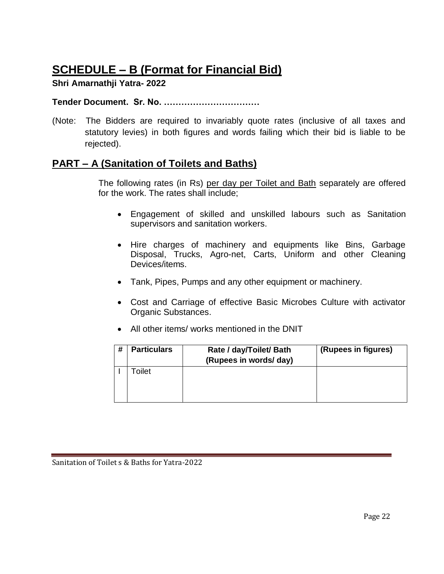# **SCHEDULE – B (Format for Financial Bid)**

# **Shri Amarnathji Yatra- 2022**

#### **Tender Document. Sr. No. ……………………………**

(Note: The Bidders are required to invariably quote rates (inclusive of all taxes and statutory levies) in both figures and words failing which their bid is liable to be rejected).

# **PART – A (Sanitation of Toilets and Baths)**

The following rates (in Rs) per day per Toilet and Bath separately are offered for the work. The rates shall include;

- Engagement of skilled and unskilled labours such as Sanitation supervisors and sanitation workers.
- Hire charges of machinery and equipments like Bins, Garbage Disposal, Trucks, Agro-net, Carts, Uniform and other Cleaning Devices/items.
- Tank, Pipes, Pumps and any other equipment or machinery.
- Cost and Carriage of effective Basic Microbes Culture with activator Organic Substances.
- All other items/ works mentioned in the DNIT

| # | <b>Particulars</b> | Rate / day/Toilet/ Bath<br>(Rupees in words/ day) | (Rupees in figures) |
|---|--------------------|---------------------------------------------------|---------------------|
|   | Toilet             |                                                   |                     |